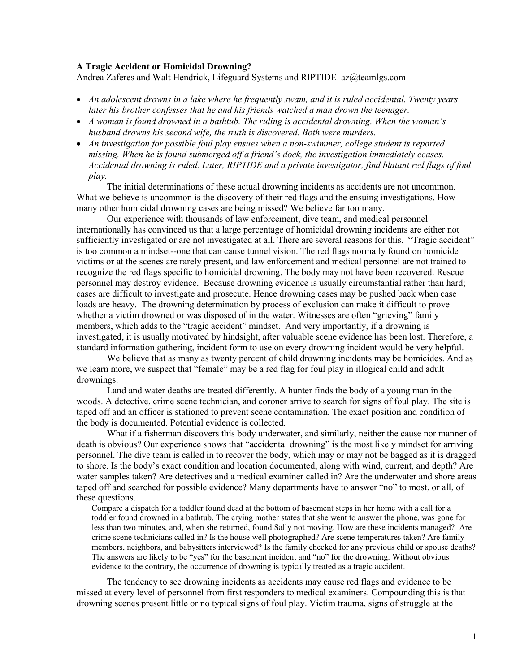## A Tragic Accident or Homicidal Drowning?

Andrea Zaferes and Walt Hendrick, Lifeguard Systems and RIPTIDE az@teamlgs.com

- An adolescent drowns in a lake where he frequently swam, and it is ruled accidental. Twenty years later his brother confesses that he and his friends watched a man drown the teenager.
- A woman is found drowned in a bathtub. The ruling is accidental drowning. When the woman's husband drowns his second wife, the truth is discovered. Both were murders.
- An investigation for possible foul play ensues when a non-swimmer, college student is reported missing. When he is found submerged off a friend's dock, the investigation immediately ceases. Accidental drowning is ruled. Later, RIPTIDE and a private investigator, find blatant red flags of foul play.

The initial determinations of these actual drowning incidents as accidents are not uncommon. What we believe is uncommon is the discovery of their red flags and the ensuing investigations. How many other homicidal drowning cases are being missed? We believe far too many.

Our experience with thousands of law enforcement, dive team, and medical personnel internationally has convinced us that a large percentage of homicidal drowning incidents are either not sufficiently investigated or are not investigated at all. There are several reasons for this. "Tragic accident" is too common a mindset--one that can cause tunnel vision. The red flags normally found on homicide victims or at the scenes are rarely present, and law enforcement and medical personnel are not trained to recognize the red flags specific to homicidal drowning. The body may not have been recovered. Rescue personnel may destroy evidence. Because drowning evidence is usually circumstantial rather than hard; cases are difficult to investigate and prosecute. Hence drowning cases may be pushed back when case loads are heavy. The drowning determination by process of exclusion can make it difficult to prove whether a victim drowned or was disposed of in the water. Witnesses are often "grieving" family members, which adds to the "tragic accident" mindset. And very importantly, if a drowning is investigated, it is usually motivated by hindsight, after valuable scene evidence has been lost. Therefore, a standard information gathering, incident form to use on every drowning incident would be very helpful.

We believe that as many as twenty percent of child drowning incidents may be homicides. And as we learn more, we suspect that "female" may be a red flag for foul play in illogical child and adult drownings.

Land and water deaths are treated differently. A hunter finds the body of a young man in the woods. A detective, crime scene technician, and coroner arrive to search for signs of foul play. The site is taped off and an officer is stationed to prevent scene contamination. The exact position and condition of the body is documented. Potential evidence is collected.

What if a fisherman discovers this body underwater, and similarly, neither the cause nor manner of death is obvious? Our experience shows that "accidental drowning" is the most likely mindset for arriving personnel. The dive team is called in to recover the body, which may or may not be bagged as it is dragged to shore. Is the body's exact condition and location documented, along with wind, current, and depth? Are water samples taken? Are detectives and a medical examiner called in? Are the underwater and shore areas taped off and searched for possible evidence? Many departments have to answer "no" to most, or all, of these questions.

Compare a dispatch for a toddler found dead at the bottom of basement steps in her home with a call for a toddler found drowned in a bathtub. The crying mother states that she went to answer the phone, was gone for less than two minutes, and, when she returned, found Sally not moving. How are these incidents managed? Are crime scene technicians called in? Is the house well photographed? Are scene temperatures taken? Are family members, neighbors, and babysitters interviewed? Is the family checked for any previous child or spouse deaths? The answers are likely to be "yes" for the basement incident and "no" for the drowning. Without obvious evidence to the contrary, the occurrence of drowning is typically treated as a tragic accident.

The tendency to see drowning incidents as accidents may cause red flags and evidence to be missed at every level of personnel from first responders to medical examiners. Compounding this is that drowning scenes present little or no typical signs of foul play. Victim trauma, signs of struggle at the